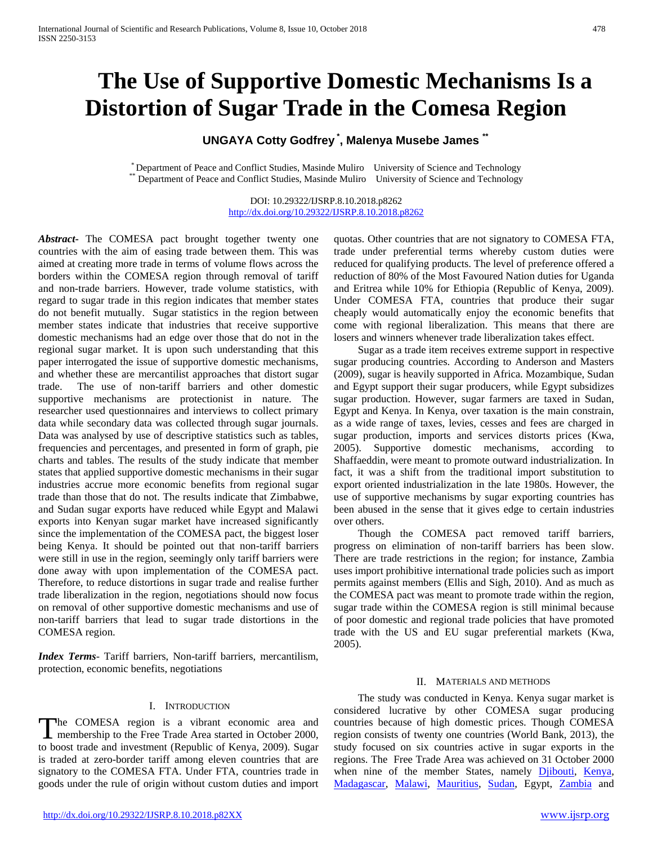# **The Use of Supportive Domestic Mechanisms Is a Distortion of Sugar Trade in the Comesa Region**

# **UNGAYA Cotty Godfrey \* , Malenya Musebe James \*\***

\* Department of Peace and Conflict Studies, Masinde Muliro University of Science and Technology \*\* Department of Peace and Conflict Studies, Masinde Muliro University of Science and Technology

DOI: 10.29322/IJSRP.8.10.2018.p8262 <http://dx.doi.org/10.29322/IJSRP.8.10.2018.p8262>

*Abstract***-** The COMESA pact brought together twenty one countries with the aim of easing trade between them. This was aimed at creating more trade in terms of volume flows across the borders within the COMESA region through removal of tariff and non-trade barriers. However, trade volume statistics, with regard to sugar trade in this region indicates that member states do not benefit mutually. Sugar statistics in the region between member states indicate that industries that receive supportive domestic mechanisms had an edge over those that do not in the regional sugar market. It is upon such understanding that this paper interrogated the issue of supportive domestic mechanisms, and whether these are mercantilist approaches that distort sugar trade. The use of non-tariff barriers and other domestic supportive mechanisms are protectionist in nature. The researcher used questionnaires and interviews to collect primary data while secondary data was collected through sugar journals. Data was analysed by use of descriptive statistics such as tables, frequencies and percentages, and presented in form of graph, pie charts and tables. The results of the study indicate that member states that applied supportive domestic mechanisms in their sugar industries accrue more economic benefits from regional sugar trade than those that do not. The results indicate that Zimbabwe, and Sudan sugar exports have reduced while Egypt and Malawi exports into Kenyan sugar market have increased significantly since the implementation of the COMESA pact, the biggest loser being Kenya. It should be pointed out that non-tariff barriers were still in use in the region, seemingly only tariff barriers were done away with upon implementation of the COMESA pact. Therefore, to reduce distortions in sugar trade and realise further trade liberalization in the region, negotiations should now focus on removal of other supportive domestic mechanisms and use of non-tariff barriers that lead to sugar trade distortions in the COMESA region.

*Index Terms*- Tariff barriers, Non-tariff barriers, mercantilism, protection, economic benefits, negotiations

#### I. INTRODUCTION

he COMESA region is a vibrant economic area and The COMESA region is a vibrant economic area and<br>
membership to the Free Trade Area started in October 2000, to boost trade and investment (Republic of Kenya, 2009). Sugar is traded at zero-border tariff among eleven countries that are signatory to the COMESA FTA. Under FTA, countries trade in goods under the rule of origin without custom duties and import

quotas. Other countries that are not signatory to COMESA FTA, trade under preferential terms whereby custom duties were reduced for qualifying products. The level of preference offered a reduction of 80% of the Most Favoured Nation duties for Uganda and Eritrea while 10% for Ethiopia (Republic of Kenya, 2009). Under COMESA FTA, countries that produce their sugar cheaply would automatically enjoy the economic benefits that come with regional liberalization. This means that there are losers and winners whenever trade liberalization takes effect.

 Sugar as a trade item receives extreme support in respective sugar producing countries. According to Anderson and Masters (2009), sugar is heavily supported in Africa. Mozambique, Sudan and Egypt support their sugar producers, while Egypt subsidizes sugar production. However, sugar farmers are taxed in Sudan, Egypt and Kenya. In Kenya, over taxation is the main constrain, as a wide range of taxes, levies, cesses and fees are charged in sugar production, imports and services distorts prices (Kwa, 2005). Supportive domestic mechanisms, according to Shaffaeddin, were meant to promote outward industrialization. In fact, it was a shift from the traditional import substitution to export oriented industrialization in the late 1980s. However, the use of supportive mechanisms by sugar exporting countries has been abused in the sense that it gives edge to certain industries over others.

 Though the COMESA pact removed tariff barriers, progress on elimination of non-tariff barriers has been slow. There are trade restrictions in the region; for instance, Zambia uses import prohibitive international trade policies such as import permits against members (Ellis and Sigh, 2010). And as much as the COMESA pact was meant to promote trade within the region, sugar trade within the COMESA region is still minimal because of poor domestic and regional trade policies that have promoted trade with the US and EU sugar preferential markets (Kwa, 2005).

#### II. MATERIALS AND METHODS

 The study was conducted in Kenya. Kenya sugar market is considered lucrative by other COMESA sugar producing countries because of high domestic prices. Though COMESA region consists of twenty one countries (World Bank, 2013), the study focused on six countries active in sugar exports in the regions. The Free Trade Area was achieved on 31 October 2000 when nine of the member States, namely [Djibouti,](http://www.crwflags.com/fotw/flags/dj.html) [Kenya,](http://www.crwflags.com/fotw/flags/ke.html)  [Madagascar,](http://www.crwflags.com/fotw/flags/mg.html) [Malawi,](http://www.crwflags.com/fotw/flags/mw.html) [Mauritius,](http://www.crwflags.com/fotw/flags/mu.html) [Sudan,](http://www.crwflags.com/fotw/flags/sd.html) Egypt, [Zambia](http://www.crwflags.com/fotw/flags/zm.html) and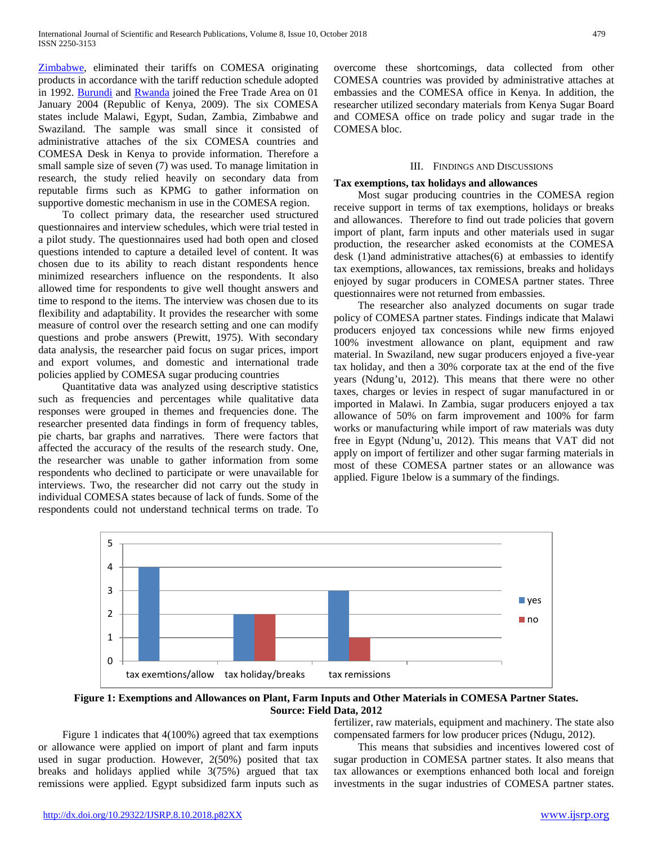[Zimbabwe,](http://www.crwflags.com/fotw/flags/zw.html) eliminated their tariffs on COMESA originating products in accordance with the tariff reduction schedule adopted in 1992. [Burundi](http://www.crwflags.com/fotw/flags/bi.html) and [Rwanda](http://www.crwflags.com/fotw/flags/rw.html) joined the Free Trade Area on 01 January 2004 (Republic of Kenya, 2009). The six COMESA states include Malawi, Egypt, Sudan, Zambia, Zimbabwe and Swaziland. The sample was small since it consisted of administrative attaches of the six COMESA countries and COMESA Desk in Kenya to provide information. Therefore a small sample size of seven (7) was used. To manage limitation in research, the study relied heavily on secondary data from reputable firms such as KPMG to gather information on supportive domestic mechanism in use in the COMESA region.

 To collect primary data, the researcher used structured questionnaires and interview schedules, which were trial tested in a pilot study. The questionnaires used had both open and closed questions intended to capture a detailed level of content. It was chosen due to its ability to reach distant respondents hence minimized researchers influence on the respondents. It also allowed time for respondents to give well thought answers and time to respond to the items. The interview was chosen due to its flexibility and adaptability. It provides the researcher with some measure of control over the research setting and one can modify questions and probe answers (Prewitt, 1975). With secondary data analysis, the researcher paid focus on sugar prices, import and export volumes, and domestic and international trade policies applied by COMESA sugar producing countries

 Quantitative data was analyzed using descriptive statistics such as frequencies and percentages while qualitative data responses were grouped in themes and frequencies done. The researcher presented data findings in form of frequency tables, pie charts, bar graphs and narratives. There were factors that affected the accuracy of the results of the research study. One, the researcher was unable to gather information from some respondents who declined to participate or were unavailable for interviews. Two, the researcher did not carry out the study in individual COMESA states because of lack of funds. Some of the respondents could not understand technical terms on trade. To

overcome these shortcomings, data collected from other COMESA countries was provided by administrative attaches at embassies and the COMESA office in Kenya. In addition, the researcher utilized secondary materials from Kenya Sugar Board and COMESA office on trade policy and sugar trade in the COMESA bloc.

## III. FINDINGS AND DISCUSSIONS

#### **Tax exemptions, tax holidays and allowances**

 Most sugar producing countries in the COMESA region receive support in terms of tax exemptions, holidays or breaks and allowances. Therefore to find out trade policies that govern import of plant, farm inputs and other materials used in sugar production, the researcher asked economists at the COMESA desk (1)and administrative attaches(6) at embassies to identify tax exemptions, allowances, tax remissions, breaks and holidays enjoyed by sugar producers in COMESA partner states. Three questionnaires were not returned from embassies.

 The researcher also analyzed documents on sugar trade policy of COMESA partner states. Findings indicate that Malawi producers enjoyed tax concessions while new firms enjoyed 100% investment allowance on plant, equipment and raw material. In Swaziland, new sugar producers enjoyed a five-year tax holiday, and then a 30% corporate tax at the end of the five years (Ndung'u, 2012). This means that there were no other taxes, charges or levies in respect of sugar manufactured in or imported in Malawi. In Zambia, sugar producers enjoyed a tax allowance of 50% on farm improvement and 100% for farm works or manufacturing while import of raw materials was duty free in Egypt (Ndung'u, 2012). This means that VAT did not apply on import of fertilizer and other sugar farming materials in most of these COMESA partner states or an allowance was applied. Figure 1below is a summary of the findings.



**Figure 1: Exemptions and Allowances on Plant, Farm Inputs and Other Materials in COMESA Partner States. Source: Field Data, 2012**

 Figure 1 indicates that 4(100%) agreed that tax exemptions or allowance were applied on import of plant and farm inputs used in sugar production. However, 2(50%) posited that tax breaks and holidays applied while 3(75%) argued that tax remissions were applied. Egypt subsidized farm inputs such as

fertilizer, raw materials, equipment and machinery. The state also compensated farmers for low producer prices (Ndugu, 2012).

 This means that subsidies and incentives lowered cost of sugar production in COMESA partner states. It also means that tax allowances or exemptions enhanced both local and foreign investments in the sugar industries of COMESA partner states.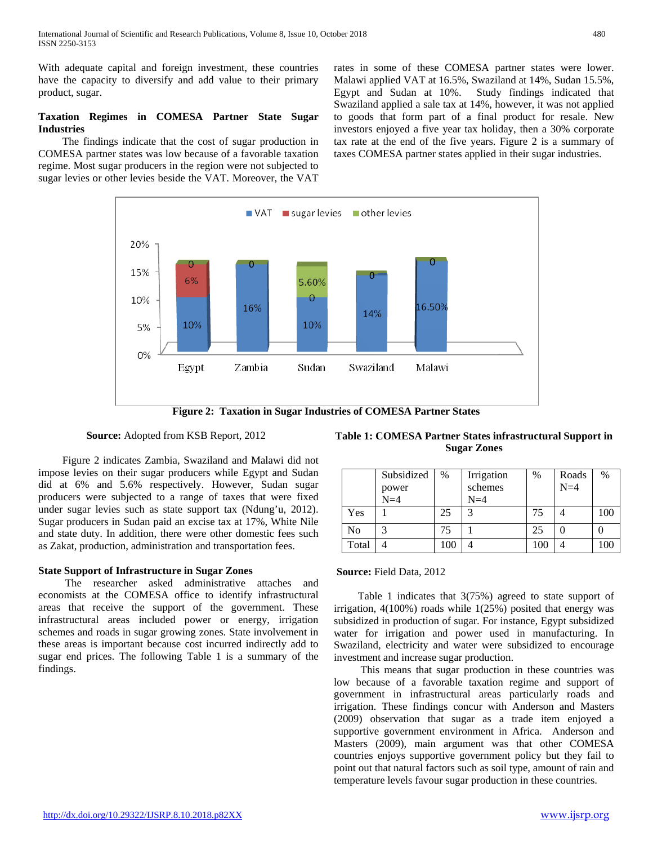With adequate capital and foreign investment, these countries have the capacity to diversify and add value to their primary product, sugar.

# **Taxation Regimes in COMESA Partner State Sugar Industries**

 The findings indicate that the cost of sugar production in COMESA partner states was low because of a favorable taxation regime. Most sugar producers in the region were not subjected to sugar levies or other levies beside the VAT. Moreover, the VAT rates in some of these COMESA partner states were lower. Malawi applied VAT at 16.5%, Swaziland at 14%, Sudan 15.5%, Egypt and Sudan at 10%. Study findings indicated that Swaziland applied a sale tax at 14%, however, it was not applied to goods that form part of a final product for resale. New investors enjoyed a five year tax holiday, then a 30% corporate tax rate at the end of the five years. Figure 2 is a summary of taxes COMESA partner states applied in their sugar industries.



# **Source:** Adopted from KSB Report, 2012

 Figure 2 indicates Zambia, Swaziland and Malawi did not impose levies on their sugar producers while Egypt and Sudan did at 6% and 5.6% respectively. However, Sudan sugar producers were subjected to a range of taxes that were fixed under sugar levies such as state support tax (Ndung'u, 2012). Sugar producers in Sudan paid an excise tax at 17%, White Nile and state duty. In addition, there were other domestic fees such as Zakat, production, administration and transportation fees.

# **State Support of Infrastructure in Sugar Zones**

 The researcher asked administrative attaches and economists at the COMESA office to identify infrastructural areas that receive the support of the government. These infrastructural areas included power or energy, irrigation schemes and roads in sugar growing zones. State involvement in these areas is important because cost incurred indirectly add to sugar end prices. The following Table 1 is a summary of the findings.

**Table 1: COMESA Partner States infrastructural Support in Sugar Zones**

|                | Subsidized<br>power<br>$N=4$ | %   | Irrigation<br>schemes<br>$N=4$ | $\%$ | Roads<br>$N=4$ | %   |
|----------------|------------------------------|-----|--------------------------------|------|----------------|-----|
| Yes            |                              | 25  | 3                              | 75   |                | 100 |
| N <sub>0</sub> | 3                            | 75  |                                | 25   |                |     |
| Total          |                              | 100 |                                | 100  |                | 100 |

#### **Source:** Field Data, 2012

 Table 1 indicates that 3(75%) agreed to state support of irrigation, 4(100%) roads while 1(25%) posited that energy was subsidized in production of sugar. For instance, Egypt subsidized water for irrigation and power used in manufacturing. In Swaziland, electricity and water were subsidized to encourage investment and increase sugar production.

 This means that sugar production in these countries was low because of a favorable taxation regime and support of government in infrastructural areas particularly roads and irrigation. These findings concur with Anderson and Masters (2009) observation that sugar as a trade item enjoyed a supportive government environment in Africa. Anderson and Masters (2009), main argument was that other COMESA countries enjoys supportive government policy but they fail to point out that natural factors such as soil type, amount of rain and temperature levels favour sugar production in these countries.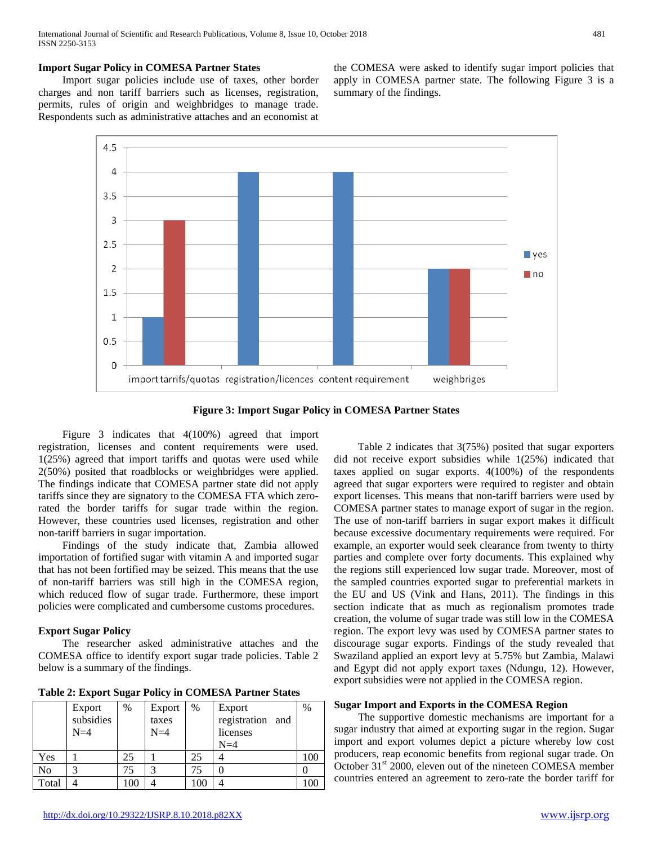## **Import Sugar Policy in COMESA Partner States**

 Import sugar policies include use of taxes, other border charges and non tariff barriers such as licenses, registration, permits, rules of origin and weighbridges to manage trade. Respondents such as administrative attaches and an economist at the COMESA were asked to identify sugar import policies that apply in COMESA partner state. The following Figure 3 is a summary of the findings.



**Figure 3: Import Sugar Policy in COMESA Partner States**

 Figure 3 indicates that 4(100%) agreed that import registration, licenses and content requirements were used. 1(25%) agreed that import tariffs and quotas were used while 2(50%) posited that roadblocks or weighbridges were applied. The findings indicate that COMESA partner state did not apply tariffs since they are signatory to the COMESA FTA which zerorated the border tariffs for sugar trade within the region. However, these countries used licenses, registration and other non-tariff barriers in sugar importation.

 Findings of the study indicate that, Zambia allowed importation of fortified sugar with vitamin A and imported sugar that has not been fortified may be seized. This means that the use of non-tariff barriers was still high in the COMESA region, which reduced flow of sugar trade. Furthermore, these import policies were complicated and cumbersome customs procedures.

# **Export Sugar Policy**

 The researcher asked administrative attaches and the COMESA office to identify export sugar trade policies. Table 2 below is a summary of the findings.

| Table 2: Export Sugar Policy in COMESA Partner States |  |  |  |  |  |
|-------------------------------------------------------|--|--|--|--|--|
|-------------------------------------------------------|--|--|--|--|--|

|       | Export    | $\%$ | Export | $\%$ | Export              | $\%$ |
|-------|-----------|------|--------|------|---------------------|------|
|       | subsidies |      | taxes  |      | registration<br>and |      |
|       | $N=4$     |      | $N=4$  |      | licenses            |      |
|       |           |      |        |      | $N=4$               |      |
| Yes   |           | 25   |        | 25   |                     | 100  |
| No    |           |      | ⌒      | 75   |                     |      |
| Total |           | 100  |        | 100  |                     | 100  |

 Table 2 indicates that 3(75%) posited that sugar exporters did not receive export subsidies while 1(25%) indicated that taxes applied on sugar exports. 4(100%) of the respondents agreed that sugar exporters were required to register and obtain export licenses. This means that non-tariff barriers were used by COMESA partner states to manage export of sugar in the region. The use of non-tariff barriers in sugar export makes it difficult because excessive documentary requirements were required. For example, an exporter would seek clearance from twenty to thirty parties and complete over forty documents. This explained why the regions still experienced low sugar trade. Moreover, most of the sampled countries exported sugar to preferential markets in the EU and US (Vink and Hans, 2011). The findings in this section indicate that as much as regionalism promotes trade creation, the volume of sugar trade was still low in the COMESA region. The export levy was used by COMESA partner states to discourage sugar exports. Findings of the study revealed that Swaziland applied an export levy at 5.75% but Zambia, Malawi and Egypt did not apply export taxes (Ndungu, 12). However, export subsidies were not applied in the COMESA region.

# **Sugar Import and Exports in the COMESA Region**

 The supportive domestic mechanisms are important for a sugar industry that aimed at exporting sugar in the region. Sugar import and export volumes depict a picture whereby low cost producers, reap economic benefits from regional sugar trade. On October 31<sup>st</sup> 2000, eleven out of the nineteen COMESA member countries entered an agreement to zero-rate the border tariff for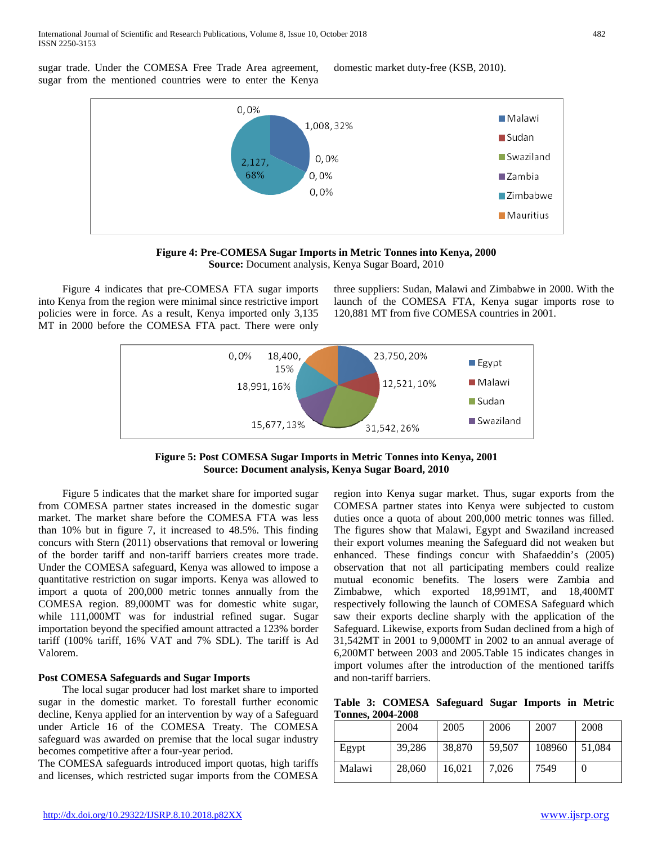sugar trade. Under the COMESA Free Trade Area agreement, sugar from the mentioned countries were to enter the Kenya

domestic market duty-free (KSB, 2010).





**Figure 4: Pre-COMESA Sugar Imports in Metric Tonnes into Kenya, 2000 Source:** Document analysis, Kenya Sugar Board, 2010

 Figure 4 indicates that pre-COMESA FTA sugar imports into Kenya from the region were minimal since restrictive import policies were in force. As a result, Kenya imported only 3,135 MT in 2000 before the COMESA FTA pact. There were only

three suppliers: Sudan, Malawi and Zimbabwe in 2000. With the launch of the COMESA FTA, Kenya sugar imports rose to 120,881 MT from five COMESA countries in 2001.



**Figure 5: Post COMESA Sugar Imports in Metric Tonnes into Kenya, 2001 Source: Document analysis, Kenya Sugar Board, 2010**

 Figure 5 indicates that the market share for imported sugar from COMESA partner states increased in the domestic sugar market. The market share before the COMESA FTA was less than 10% but in figure 7, it increased to 48.5%. This finding concurs with Stern (2011) observations that removal or lowering of the border tariff and non-tariff barriers creates more trade. Under the COMESA safeguard, Kenya was allowed to impose a quantitative restriction on sugar imports. Kenya was allowed to import a quota of 200,000 metric tonnes annually from the COMESA region. 89,000MT was for domestic white sugar, while 111,000MT was for industrial refined sugar. Sugar importation beyond the specified amount attracted a 123% border tariff (100% tariff, 16% VAT and 7% SDL). The tariff is Ad Valorem.

# **Post COMESA Safeguards and Sugar Imports**

 The local sugar producer had lost market share to imported sugar in the domestic market. To forestall further economic decline, Kenya applied for an intervention by way of a Safeguard under Article 16 of the COMESA Treaty. The COMESA safeguard was awarded on premise that the local sugar industry becomes competitive after a four-year period.

The COMESA safeguards introduced import quotas, high tariffs and licenses, which restricted sugar imports from the COMESA region into Kenya sugar market. Thus, sugar exports from the COMESA partner states into Kenya were subjected to custom duties once a quota of about 200,000 metric tonnes was filled. The figures show that Malawi, Egypt and Swaziland increased their export volumes meaning the Safeguard did not weaken but enhanced. These findings concur with Shafaeddin's (2005) observation that not all participating members could realize mutual economic benefits. The losers were Zambia and Zimbabwe, which exported 18,991MT, and 18,400MT respectively following the launch of COMESA Safeguard which saw their exports decline sharply with the application of the Safeguard. Likewise, exports from Sudan declined from a high of 31,542MT in 2001 to 9,000MT in 2002 to an annual average of 6,200MT between 2003 and 2005.Table 15 indicates changes in import volumes after the introduction of the mentioned tariffs and non-tariff barriers.

**Table 3: COMESA Safeguard Sugar Imports in Metric Tonnes, 2004-2008**

|        | 2004   | 2005   | 2006   | 2007   | 2008   |
|--------|--------|--------|--------|--------|--------|
| Egypt  | 39,286 | 38,870 | 59,507 | 108960 | 51.084 |
| Malawi | 28,060 | 16,021 | 7.026  | 7549   |        |